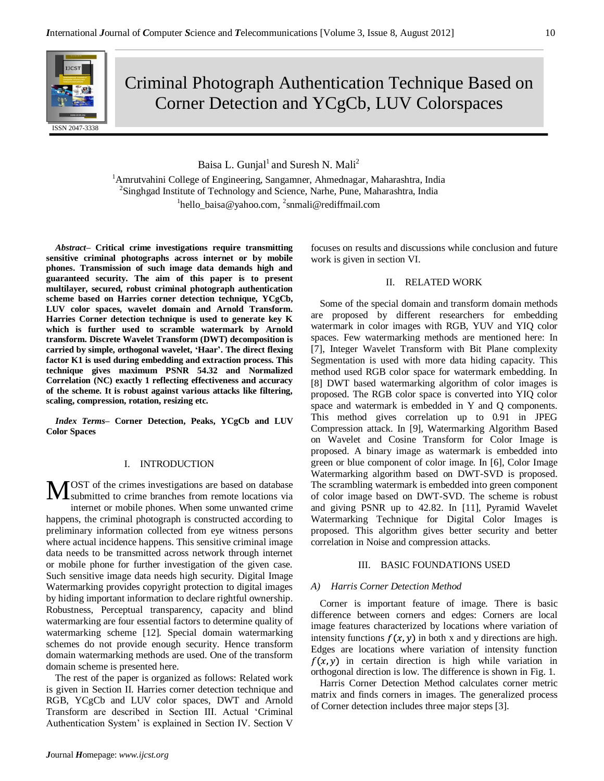

Criminal Photograph Authentication Technique Based on Corner Detection and YCgCb, LUV Colorspaces

Baisa L. Gunjal<sup>1</sup> and Suresh N. Mali<sup>2</sup>

<sup>1</sup> Amrutvahini College of Engineering, Sangamner, Ahmednagar, Maharashtra, India <sup>2</sup>Singhgad Institute of Technology and Science, Narhe, Pune, Maharashtra, India <sup>1</sup>hello\_baisa@yahoo.com, <sup>2</sup>snmali@rediffmail.com

*Abstract–* **Critical crime investigations require transmitting sensitive criminal photographs across internet or by mobile phones. Transmission of such image data demands high and guaranteed security. The aim of this paper is to present multilayer, secured, robust criminal photograph authentication scheme based on Harries corner detection technique, YCgCb, LUV color spaces, wavelet domain and Arnold Transform. Harries Corner detection technique is used to generate key K which is further used to scramble watermark by Arnold transform. Discrete Wavelet Transform (DWT) decomposition is carried by simple, orthogonal wavelet, 'Haar'. The direct flexing factor K1 is used during embedding and extraction process. This technique gives maximum PSNR 54.32 and Normalized Correlation (NC) exactly 1 reflecting effectiveness and accuracy of the scheme. It is robust against various attacks like filtering, scaling, compression, rotation, resizing etc.**

*Index Terms–* **Corner Detection, Peaks, YCgCb and LUV Color Spaces**

# I. INTRODUCTION

OST of the crimes investigations are based on database **MOST** of the crimes investigations are based on database<br>submitted to crime branches from remote locations via internet or mobile phones. When some unwanted crime happens, the criminal photograph is constructed according to preliminary information collected from eye witness persons where actual incidence happens. This sensitive criminal image data needs to be transmitted across network through internet or mobile phone for further investigation of the given case. Such sensitive image data needs high security. Digital Image Watermarking provides copyright protection to digital images by hiding important information to declare rightful ownership. Robustness, Perceptual transparency, capacity and blind watermarking are four essential factors to determine quality of watermarking scheme [12]*.* Special domain watermarking schemes do not provide enough security. Hence transform domain watermarking methods are used. One of the transform domain scheme is presented here.

The rest of the paper is organized as follows: Related work is given in Section II. Harries corner detection technique and RGB, YCgCb and LUV color spaces, DWT and Arnold Transform are described in Section III. Actual "Criminal Authentication System" is explained in Section IV. Section V focuses on results and discussions while conclusion and future work is given in section VI.

# II. RELATED WORK

Some of the special domain and transform domain methods are proposed by different researchers for embedding watermark in color images with RGB, YUV and YIQ color spaces. Few watermarking methods are mentioned here: In [7], Integer Wavelet Transform with Bit Plane complexity Segmentation is used with more data hiding capacity. This method used RGB color space for watermark embedding. In [8] DWT based watermarking algorithm of color images is proposed. The RGB color space is converted into YIQ color space and watermark is embedded in Y and Q components. This method gives correlation up to 0.91 in JPEG Compression attack. In [9], Watermarking Algorithm Based on Wavelet and Cosine Transform for Color Image is proposed. A binary image as watermark is embedded into green or blue component of color image. In [6], Color Image Watermarking algorithm based on DWT-SVD is proposed. The scrambling watermark is embedded into green component of color image based on DWT-SVD. The scheme is robust and giving PSNR up to 42.82. In [11], Pyramid Wavelet Watermarking Technique for Digital Color Images is proposed. This algorithm gives better security and better correlation in Noise and compression attacks.

### III. BASIC FOUNDATIONS USED

# *A) Harris Corner Detection Method*

Corner is important feature of image. There is basic difference between corners and edges: Corners are local image features characterized by locations where variation of intensity functions  $f(x, y)$  in both x and y directions are high. Edges are locations where variation of intensity function  $f(x, y)$  in certain direction is high while variation in orthogonal direction is low. The difference is shown in Fig. 1.

Harris Corner Detection Method calculates corner metric matrix and finds corners in images. The generalized process of Corner detection includes three major steps [3].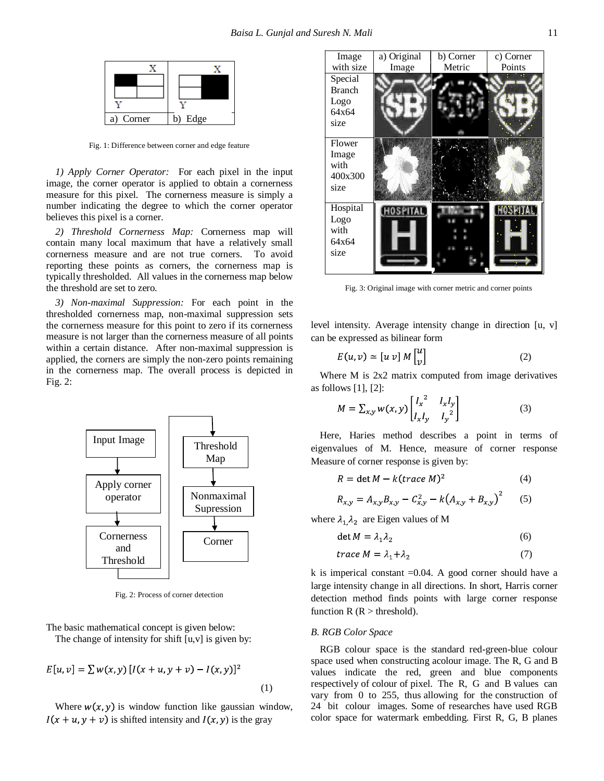

Fig. 1: Difference between corner and edge feature

*1) Apply Corner Operator:* For each pixel in the input image, the corner operator is applied to obtain a cornerness measure for this pixel. The cornerness measure is simply a number indicating the degree to which the corner operator believes this pixel is a corner.

*2) Threshold Cornerness Map:* Cornerness map will contain many local maximum that have a relatively small cornerness measure and are not true corners. To avoid reporting these points as corners, the cornerness map is typically thresholded. All values in the cornerness map below the threshold are set to zero.

*3) Non-maximal Suppression:* For each point in the thresholded cornerness map, non-maximal suppression sets the cornerness measure for this point to zero if its cornerness measure is not larger than the cornerness measure of all points within a certain distance. After non-maximal suppression is applied, the corners are simply the non-zero points remaining in the cornerness map. The overall process is depicted in Fig. 2:



Fig. 2: Process of corner detection

The basic mathematical concept is given below: The change of intensity for shift  $[u, v]$  is given by:

$$
E[u, v] = \sum w(x, y) [I(x + u, y + v) - I(x, y)]^{2}
$$
\n(1)

Where  $w(x, y)$  is window function like gaussian window,  $I(x + u, y + v)$  is shifted intensity and  $I(x, y)$  is the gray



Fig. 3: Original image with corner metric and corner points

level intensity. Average intensity change in direction [u, v] can be expressed as bilinear form

$$
E(u, v) \simeq [u \, v] \, M \begin{bmatrix} u \\ v \end{bmatrix} \tag{2}
$$

Where M is 2x2 matrix computed from image derivatives as follows  $[1]$ ,  $[2]$ :

$$
M = \sum_{x,y} w(x,y) \begin{bmatrix} I_x^2 & I_x I_y \\ I_x I_y & I_y^2 \end{bmatrix}
$$
 (3)

Here, Haries method describes a point in terms of eigenvalues of M. Hence, measure of corner response Measure of corner response is given by:

$$
R = \det M - k(\text{trace } M)^2 \tag{4}
$$

$$
R_{x,y} = A_{x,y}B_{x,y} - C_{x,y}^2 - k(A_{x,y} + B_{x,y})^2
$$
 (5)

where  $\lambda_1 \lambda_2$  are Eigen values of M

$$
det M = \lambda_1 \lambda_2 \tag{6}
$$

$$
trace M = \lambda_1 + \lambda_2 \tag{7}
$$

k is imperical constant  $=0.04$ . A good corner should have a large intensity change in all directions. In short, Harris corner detection method finds points with large corner response function  $R(R > threshold)$ .

#### *B. RGB Color Space*

RGB colour space is the standard red-green-blue colour space used when constructing acolour image. The R, G and B values indicate the red, green and blue components respectively of colour of pixel. The R, G and B values can vary from 0 to 255, thus allowing for the construction of 24 bit colour images. Some of researches have used RGB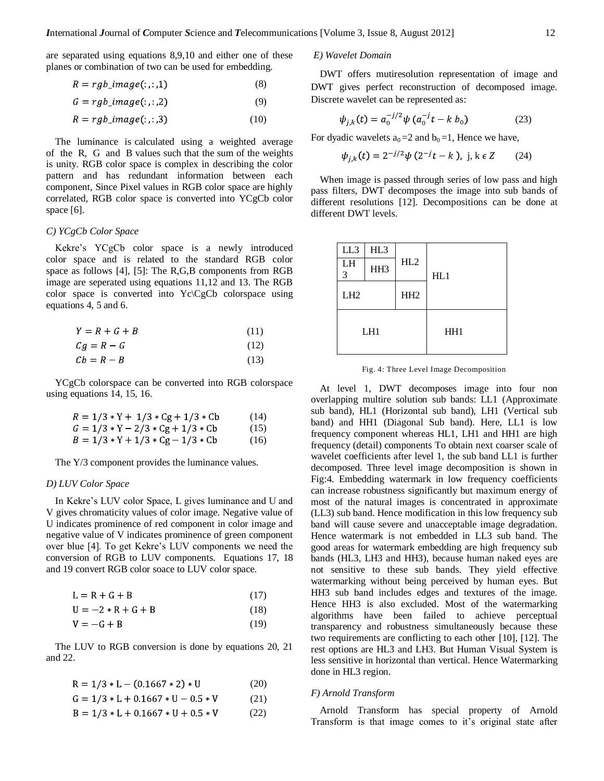are separated using equations 8,9,10 and either one of these planes or combination of two can be used for embedding.

$$
R = rgb\_image(:, :, 1)
$$
 (8)

$$
G = rgb\_image(:, :, 2)
$$
 (9)

$$
R = rgb\_image(:,:, 3)
$$
 (10)

The luminance is calculated using a weighted average of the R, G and B values such that the sum of the weights is unity. RGB color space is complex in describing the color pattern and has redundant information between each component, Since Pixel values in RGB color space are highly correlated, RGB color space is converted into YCgCb color space [6].

#### *C) YCgCb Color Space*

Kekre"s YCgCb color space is a newly introduced color space and is related to the standard RGB color space as follows [4], [5]: The R,G,B components from RGB image are seperated using equations 11,12 and 13. The RGB color space is converted into Yc\CgCb colorspace using equations 4, 5 and 6.

$$
Y = R + G + B \tag{11}
$$

$$
Cg = R - G \tag{12}
$$

$$
Cb = R - B \tag{13}
$$

YCgCb colorspace can be converted into RGB colorspace using equations 14, 15, 16.

$$
R = 1/3 * Y + 1/3 * Cg + 1/3 * Cb
$$
 (14)  
\n
$$
G = 1/3 * Y - 2/3 * Cg + 1/3 * Cb
$$
 (15)  
\n
$$
B = 1/3 * Y + 1/3 * Cg - 1/3 * Cb
$$
 (16)

The Y/3 component provides the luminance values.

### *D) LUV Color Space*

In Kekre"s LUV color Space, L gives luminance and U and V gives chromaticity values of color image. Negative value of U indicates prominence of red component in color image and negative value of V indicates prominence of green component over blue [4]. To get Kekre"s LUV components we need the conversion of RGB to LUV components. Equations 17, 18 and 19 convert RGB color soace to LUV color space.

$$
L = R + G + B \tag{17}
$$

$$
U = -2 \cdot R + G + B \tag{18}
$$

$$
V = -G + B \tag{19}
$$

The LUV to RGB conversion is done by equations 20, 21 and 22.

$$
R = 1/3 * L - (0.1667 * 2) * U \tag{20}
$$

$$
G = 1/3 * L + 0.1667 * U - 0.5 * V \tag{21}
$$

$$
B = 1/3 * L + 0.1667 * U + 0.5 * V \tag{22}
$$

# *E) Wavelet Domain*

DWT offers mutiresolution representation of image and DWT gives perfect reconstruction of decomposed image. Discrete wavelet can be represented as:

$$
\psi_{j,k}(t) = a_0^{-j/2} \psi \left( a_0^{-j} t - k \ b_0 \right) \tag{23}
$$

For dyadic wavelets  $a_0 = 2$  and  $b_0 = 1$ , Hence we have,

$$
\psi_{j,k}(t) = 2^{-j/2} \psi(2^{-j}t - k), \ j, k \in \mathbb{Z}
$$
 (24)

When image is passed through series of low pass and high pass filters, DWT decomposes the image into sub bands of different resolutions [12]. Decompositions can be done at different DWT levels.

| LL3             | HL <sub>3</sub> |                 |     |  |
|-----------------|-----------------|-----------------|-----|--|
| LH<br>3         | HH3             | HL2             | HL1 |  |
| LH <sub>2</sub> |                 | HH <sub>2</sub> |     |  |
| LH <sub>1</sub> |                 |                 | HH1 |  |

Fig. 4: Three Level Image Decomposition

At level 1, DWT decomposes image into four non overlapping multire solution sub bands: LL1 (Approximate sub band), HL1 (Horizontal sub band), LH1 (Vertical sub band) and HH1 (Diagonal Sub band). Here, LL1 is low frequency component whereas HL1, LH1 and HH1 are high frequency (detail) components To obtain next coarser scale of wavelet coefficients after level 1, the sub band LL1 is further decomposed. Three level image decomposition is shown in Fig:4. Embedding watermark in low frequency coefficients can increase robustness significantly but maximum energy of most of the natural images is concentrated in approximate (LL3) sub band. Hence modification in this low frequency sub band will cause severe and unacceptable image degradation. Hence watermark is not embedded in LL3 sub band. The good areas for watermark embedding are high frequency sub bands (HL3, LH3 and HH3), because human naked eyes are not sensitive to these sub bands. They yield effective watermarking without being perceived by human eyes. But HH3 sub band includes edges and textures of the image. Hence HH3 is also excluded. Most of the watermarking algorithms have been failed to achieve perceptual transparency and robustness simultaneously because these two requirements are conflicting to each other [10], [12]. The rest options are HL3 and LH3. But Human Visual System is less sensitive in horizontal than vertical. Hence Watermarking done in HL3 region.

### *F) Arnold Transform*

Arnold Transform has special property of Arnold Transform is that image comes to it"s original state after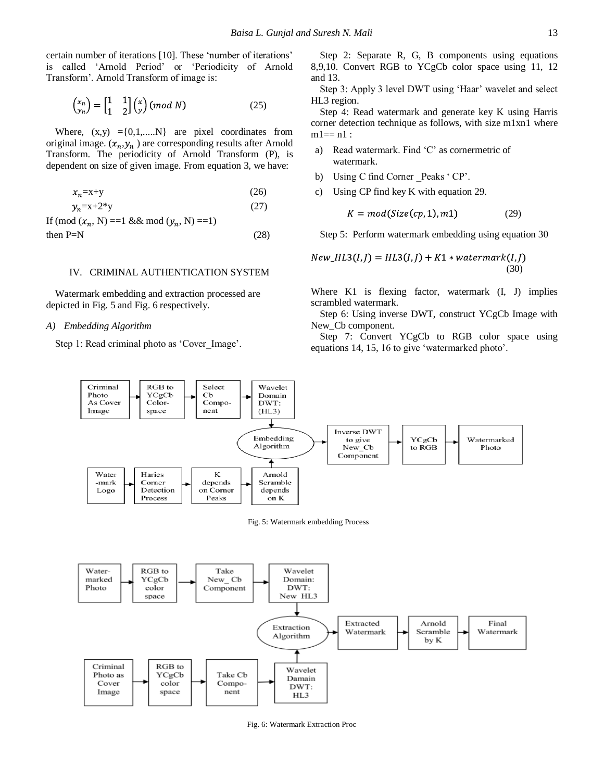certain number of iterations [10]. These "number of iterations" is called 'Arnold Period' or 'Periodicity of Arnold Transform". Arnold Transform of image is:

$$
\begin{pmatrix} x_n \\ y_n \end{pmatrix} = \begin{bmatrix} 1 & 1 \\ 1 & 2 \end{bmatrix} \begin{pmatrix} x \\ y \end{pmatrix} \text{ (mod N)} \tag{25}
$$

Where,  $(x,y) = \{0,1,...N\}$  are pixel coordinates from original image.  $(x_n, y_n)$  are corresponding results after Arnold Transform. The periodicity of Arnold Transform (P), is dependent on size of given image. From equation 3, we have:

$$
x_n = x + y \tag{26}
$$

$$
y_n = x + 2^*y
$$
 (27)  
If (mod  $(x_n, N) = 1$  & & mod  $(y_n, N) = 1$ )

then  $P=N$  (28)

# IV. CRIMINAL AUTHENTICATION SYSTEM

Watermark embedding and extraction processed are depicted in Fig. 5 and Fig. 6 respectively.

### *A) Embedding Algorithm*

Step 1: Read criminal photo as 'Cover\_Image'.

Step 2: Separate R, G, B components using equations 8,9,10. Convert RGB to YCgCb color space using 11, 12 and 13.

Step 3: Apply 3 level DWT using 'Haar' wavelet and select HL3 region.

Step 4: Read watermark and generate key K using Harris corner detection technique as follows, with size m1xn1 where  $ml == n1$ :

- a) Read watermark. Find 'C' as cornermetric of watermark.
- b) Using C find Corner Peaks ' CP'.
- c) Using CP find key K with equation 29.

$$
K = mod(Size(cp, 1), m1)
$$
 (29)

Step 5: Perform watermark embedding using equation 30

$$
New_{HL3}(I,J) = HL3(I,J) + K1 * watermark(I,J)
$$
\n(30)

Where K1 is flexing factor, watermark  $(I, J)$  implies scrambled watermark.

Step 6: Using inverse DWT, construct YCgCb Image with New Cb component.

Step 7: Convert YCgCb to RGB color space using equations 14, 15, 16 to give "watermarked photo".





Fig. 6: Watermark Extraction Proc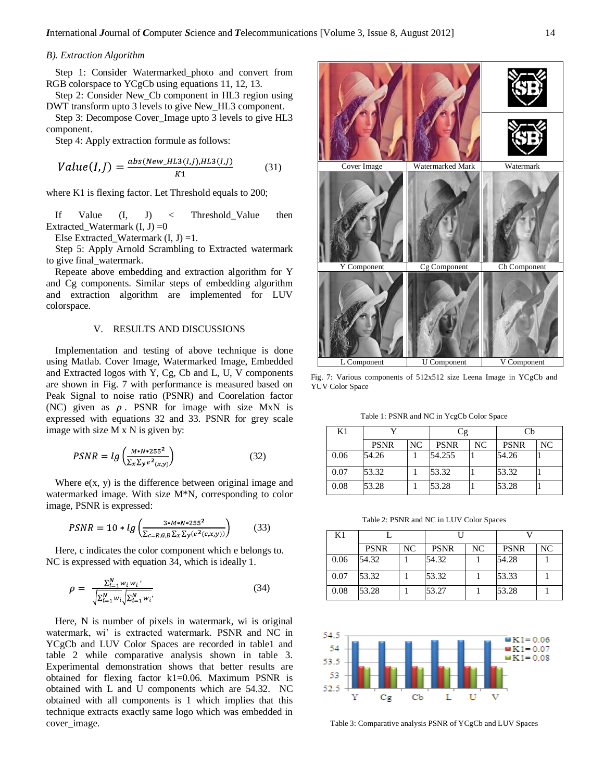### *B). Extraction Algorithm*

Step 1: Consider Watermarked\_photo and convert from RGB colorspace to YCgCb using equations 11, 12, 13.

Step 2: Consider New\_Cb component in HL3 region using DWT transform upto 3 levels to give New\_HL3 component.

Step 3: Decompose Cover\_Image upto 3 levels to give HL3 component.

Step 4: Apply extraction formule as follows:

$$
Value(I, J) = \frac{abs(New\_HLS(I, J), HLS(I, J)}{K1}
$$
(31)

where K1 is flexing factor. Let Threshold equals to 200;

If Value (I, J) < Threshold Value then Extracted Watermark  $(I, J) = 0$ 

Else Extracted\_Watermark  $(I, J) = 1$ .

Step 5: Apply Arnold Scrambling to Extracted watermark to give final\_watermark.

Repeate above embedding and extraction algorithm for Y and Cg components. Similar steps of embedding algorithm and extraction algorithm are implemented for LUV colorspace.

# V. RESULTS AND DISCUSSIONS

Implementation and testing of above technique is done using Matlab. Cover Image, Watermarked Image, Embedded and Extracted logos with Y, Cg, Cb and L, U, V components are shown in Fig. 7 with performance is measured based on Peak Signal to noise ratio (PSNR) and Coorelation factor (NC) given as  $\rho$ . PSNR for image with size MxN is expressed with equations 32 and 33. PSNR for grey scale image with size M x N is given by:

$$
PSNR = lg\left(\frac{M*N*255^2}{\sum_{x}\sum_{y}e^2(x,y)}\right)
$$
 (32)

Where  $e(x, y)$  is the difference between original image and watermarked image. With size M\*N, corresponding to color image, PSNR is expressed:

$$
PSNR = 10 * lg \left( \frac{3 * M * N * 255^2}{\sum_{c=R,G,B} \sum_{x} \sum_{y} (e^2(c,x,y))} \right)
$$
(33)

Here, c indicates the color component which e belongs to. NC is expressed with equation 34, which is ideally 1.

$$
\rho = \frac{\sum_{i=1}^{N} w_i w_i'}{\sqrt{\sum_{i=1}^{N} w_i} \sqrt{\sum_{i=1}^{N} w_i'}} \tag{34}
$$

Here, N is number of pixels in watermark, wi is original watermark, wi' is extracted watermark. PSNR and NC in YCgCb and LUV Color Spaces are recorded in table1 and table 2 while comparative analysis shown in table 3. Experimental demonstration shows that better results are obtained for flexing factor k1=0.06. Maximum PSNR is obtained with L and U components which are 54.32. NC obtained with all components is 1 which implies that this technique extracts exactly same logo which was embedded in cover image.



Fig. 7: Various components of 512x512 size Leena Image in YCgCb and YUV Color Space

Table 1: PSNR and NC in YcgCb Color Space

| K1   |             |    | Cg          |    | Сb          |    |
|------|-------------|----|-------------|----|-------------|----|
|      | <b>PSNR</b> | NC | <b>PSNR</b> | NC | <b>PSNR</b> | NC |
| 0.06 | 54.26       |    | 54.255      |    | 54.26       |    |
| 0.07 | 53.32       |    | 53.32       |    | 53.32       |    |
| 0.08 | 53.28       |    | 53.28       |    | 53.28       |    |

Table 2: PSNR and NC in LUV Color Spaces

| K1   |             |    | Н           |    |             |    |
|------|-------------|----|-------------|----|-------------|----|
|      | <b>PSNR</b> | NC | <b>PSNR</b> | NC | <b>PSNR</b> | NC |
| 0.06 | 54.32       |    | 54.32       |    | 54.28       |    |
| 0.07 | 53.32       |    | 53.32       |    | 53.33       |    |
| 0.08 | 53.28       |    | 53.27       |    | 53.28       |    |



Table 3: Comparative analysis PSNR of YCgCb and LUV Spaces